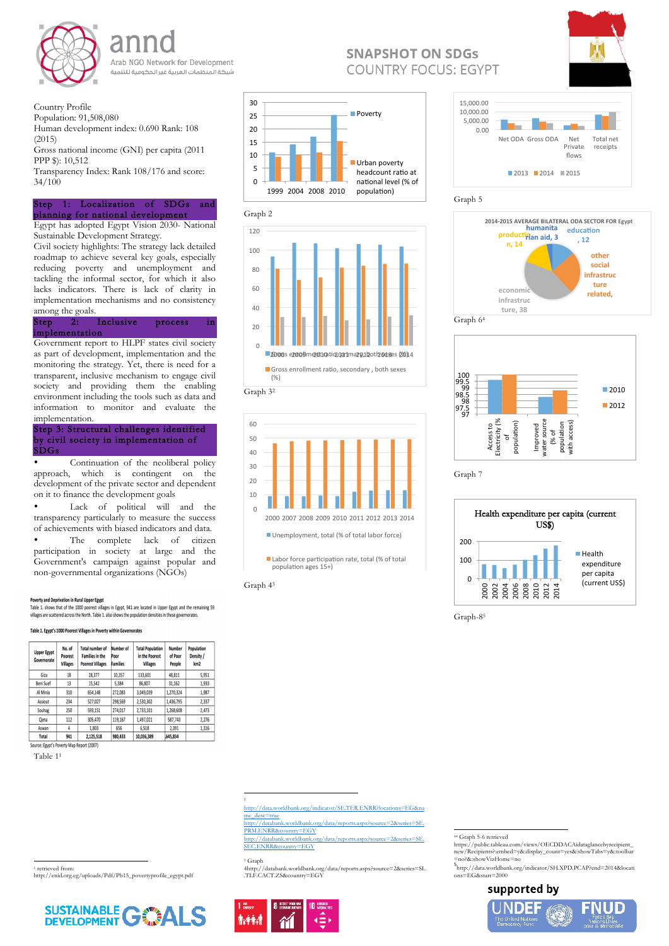

Arab NGO Network for Development شبكة المنظمات العربية غير الحكومية للتنمية

Country Profile

Population: 91,508,080

Human development index: 0.690 Rank: 108 (2015)

Gross national income (GNI) per capita (2011 PPP \$): 10,512

Transparency Index: Rank 108/176 and score: 34/100

## Step 1: Localization of SDGs and planning for national development

Egypt has adopted Egypt Vision 2030- National Sustainable Development Strategy.

Civil society highlights: The strategy lack detailed roadmap to achieve several key goals, especially reducing poverty and unemployment and tackling the informal sector, for which it also lacks indicators. There is lack of clarity in implementation mechanisms and no consistency among the goals.

• Continuation of the neoliberal policy approach, which is contingent on the development of the private sector and dependent on it to finance the development goals

Step 2: Inclusive process in implementation

• The complete lack of citizen participation in society at large and the Government's campaign against popular and non-governmental organizations (NGOs)

#### **Poverty and Deprivation in Rural Upper Egypt**

Table 1. shows that of the 1000 poorest villages in Egypt, 941 are located in Upper Egypt and the remaining 59 villages are scattered across the North. Table 1. also shows the population densities in these governorates.

#### Table 1. Egypt's 1000 Poorest Villages in Poverty within Governorates

| <b>Upper Egypt</b><br><b>Governorate</b> | No. of<br><b>Poorest</b><br><b>Villages</b> | <b>Total number of</b><br><b>Families in the</b><br><b>Poorest Villages</b> | Number of<br>Poor<br><b>Families</b> | <b>Total Population</b><br>in the Poorest<br><b>Villages</b> | <b>Number</b><br>of Poor<br><b>People</b> | <b>Population</b><br>Density /<br>km <sub>2</sub> |
|------------------------------------------|---------------------------------------------|-----------------------------------------------------------------------------|--------------------------------------|--------------------------------------------------------------|-------------------------------------------|---------------------------------------------------|
| Giza                                     | 18                                          | 28,377                                                                      | 10,357                               | 133,601                                                      | 48,811                                    | 5,951                                             |
| <b>Beni Suef</b>                         | 13                                          | 15,542                                                                      | 5.584                                | 86,807                                                       | 31.162                                    | 1.933                                             |
| Al Minia                                 | 310                                         | 654,148                                                                     | 272,083                              | 3,049,039                                                    | 1,270,324                                 | 1,987                                             |
| <b>Assiout</b>                           | 234                                         | 527,027                                                                     | 298,569                              | 2,530,302                                                    | 1,436,795                                 | 2,337                                             |
| Souhag                                   | 250                                         | 593.151                                                                     | 274.017                              | 2.733.101                                                    | 1.268.608                                 | 2.473                                             |

Government report to HLPF states civil society as part of development, implementation and the monitoring the strategy. Yet, there is need for a transparent, inclusive mechanism to engage civil society and providing them the enabling environment including the tools such as data and information to monitor and evaluate the implementation.

### Step 3: Structural challenges identified by civil society in implementation of SDGs

• Lack of political will and the transparency particularly to measure the success of achievements with biased indicators and data.

## 0.00 5,000.00 10,000.00 15,000.00 Net ODA Gross ODA Net

Table 11

 





<sup>1</sup> retrieved from: http://enid.org.eg/uploads/Pdf/Pb15\_povertyprofile\_egypt.pdf





# **SNAPSHOT ON SDGS COUNTRY FOCUS: EGYPT**

 

2

http://data.worldbank.org/indicator/SE.TER.ENRR?locations=EG&na me\_desc=true

http://databank.worldbank.org/data/reports.aspx?source=2&series=SE. PRM.ENRR&country=EGY http://databank.worldbank.org/data/reports.aspx?source=2&series=SE.

SEC.ENRR&country=EGY

<sup>3</sup> Graph

4http://databank.worldbank.org/data/reports.aspx?source=2&series=SL .TLF.CACT.ZS&country=EGY

<sup>44</sup> Graph 5-6 retrieved



Graph 7



https://public.tableau.com/views/OECDDACAidataglancebyrecipient\_ new/Recipients?:embed=y&:display\_count=yes&:showTabs=y&:toolbar =no?&:showVizHome=no

5 http://data.worldbank.org/indicator/SH.XPD.PCAP?end=2014&locati ons=EG&start=2000

## supported by

<u> 1989 - Johann Stein, fransk politik (d. 1989)</u>









Graph-85

| Qena         | 112 | 305,470   | 119,167 | 1,497,021  | 587,743 | 2,276 |
|--------------|-----|-----------|---------|------------|---------|-------|
| Aswan        |     | 1,803     | 656     | 6.518      | 2,391   | 1,316 |
| <b>Total</b> | 941 | 2,125,518 | 980,433 | 10,036,389 | 645,834 |       |

Source: Egypt's Poverty Map Report (2007)



 $\blacksquare$  Labor force participation rate, total (% of total population ages 15+)